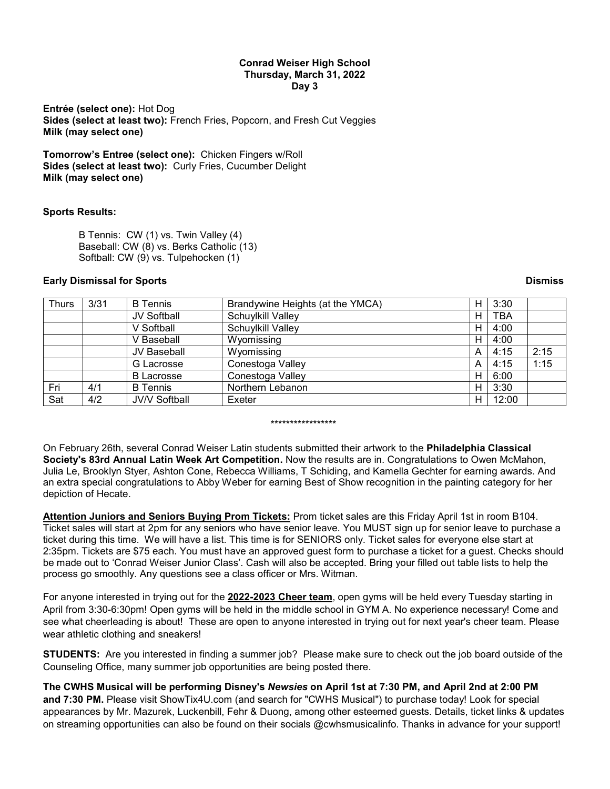### **Conrad Weiser High School Thursday, March 31, 2022 Day 3**

**Entrée (select one):** Hot Dog **Sides (select at least two):** French Fries, Popcorn, and Fresh Cut Veggies **Milk (may select one)**

**Tomorrow's Entree (select one):** Chicken Fingers w/Roll **Sides (select at least two):** Curly Fries, Cucumber Delight **Milk (may select one)**

## **Sports Results:**

B Tennis: CW (1) vs. Twin Valley (4) Baseball: CW (8) vs. Berks Catholic (13) Softball: CW (9) vs. Tulpehocken (1)

## **Early Dismissal for Sports Dismiss**

| <b>Thurs</b> | 3/31 | <b>B</b> Tennis      | Brandywine Heights (at the YMCA) | н | 3:30       |      |
|--------------|------|----------------------|----------------------------------|---|------------|------|
|              |      | JV Softball          | Schuylkill Valley                | н | <b>TBA</b> |      |
|              |      | V Softball           | Schuylkill Valley                | н | 4:00       |      |
|              |      | V Baseball           | Wyomissing                       | н | 4:00       |      |
|              |      | JV Baseball          | Wyomissing                       | A | 4:15       | 2:15 |
|              |      | G Lacrosse           | Conestoga Valley                 | A | 4:15       | 1:15 |
|              |      | <b>B</b> Lacrosse    | Conestoga Valley                 | н | 6:00       |      |
| Fri          | 4/1  | <b>B</b> Tennis      | Northern Lebanon                 | н | 3:30       |      |
| Sat          | 4/2  | <b>JV/V Softball</b> | Exeter                           | н | 12:00      |      |

### \*\*\*\*\*\*\*\*\*\*\*\*\*\*\*\*\*

On February 26th, several Conrad Weiser Latin students submitted their artwork to the **Philadelphia Classical Society's 83rd Annual Latin Week Art Competition.** Now the results are in. Congratulations to Owen McMahon, Julia Le, Brooklyn Styer, Ashton Cone, Rebecca Williams, T Schiding, and Kamella Gechter for earning awards. And an extra special congratulations to Abby Weber for earning Best of Show recognition in the painting category for her depiction of Hecate.

**Attention Juniors and Seniors Buying Prom Tickets:** Prom ticket sales are this Friday April 1st in room B104. Ticket sales will start at 2pm for any seniors who have senior leave. You MUST sign up for senior leave to purchase a ticket during this time. We will have a list. This time is for SENIORS only. Ticket sales for everyone else start at 2:35pm. Tickets are \$75 each. You must have an approved guest form to purchase a ticket for a guest. Checks should be made out to 'Conrad Weiser Junior Class'. Cash will also be accepted. Bring your filled out table lists to help the process go smoothly. Any questions see a class officer or Mrs. Witman.

For anyone interested in trying out for the **2022-2023 Cheer team**, open gyms will be held every Tuesday starting in April from 3:30-6:30pm! Open gyms will be held in the middle school in GYM A. No experience necessary! Come and see what cheerleading is about! These are open to anyone interested in trying out for next year's cheer team. Please wear athletic clothing and sneakers!

**STUDENTS:** Are you interested in finding a summer job? Please make sure to check out the job board outside of the Counseling Office, many summer job opportunities are being posted there.

# **The CWHS Musical will be performing Disney's** *Newsies* **on April 1st at 7:30 PM, and April 2nd at 2:00 PM**

**and 7:30 PM.** Please visit ShowTix4U.com (and search for "CWHS Musical") to purchase today! Look for special appearances by Mr. Mazurek, Luckenbill, Fehr & Duong, among other esteemed guests. Details, ticket links & updates on streaming opportunities can also be found on their socials @cwhsmusicalinfo. Thanks in advance for your support!